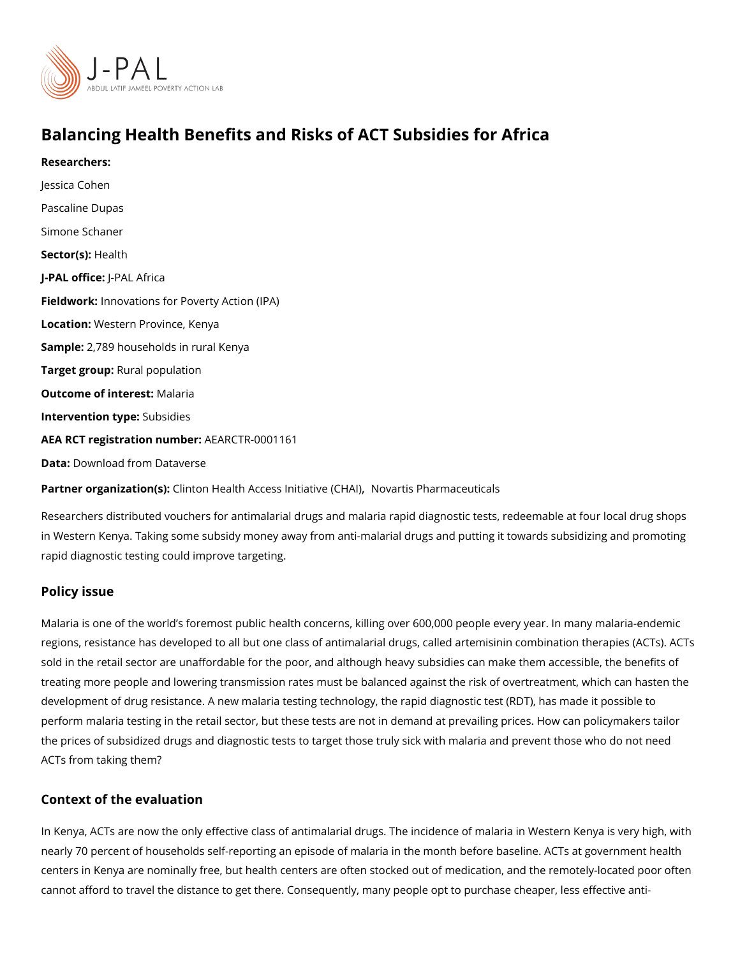# Balancing Health Benefits and Risks of ACT Subsidies for A

Researchers: [Jessica C](https://www.povertyactionlab.org/person/cohen)ohen [Pascaline](https://www.povertyactionlab.org/person/dupas) Dupas [Simone Sc](https://www.povertyactionlab.org/person/schaner)haner Sector(**s**) alth J-PAL offlicReAL Africa Fieldworkhovations for Poverty Action (IPA) Locatio M: estern Province, Kenya Sample: 789 households in rural Kenya Target gro**Rpral** population Outcome of inteMestaria Intervention t Spubsidies AEA RCT registration ArEuAnRbGeTR-0001161 Data[Download from Da](https://dx.doi.org/10.7910/DVN/EQJPZT)taverse

Partner organizatColim(tso)n Health Access InjtNinothiareti(sCPHAd) maceuticals

Researchers distributed vouchers for antimalarial drugs and malaria rapid diagnostic test in Western Kenya. Taking some subsidy money away from anti-malarial drugs and putting rapid diagnostic testing could improve targeting.

#### Policy issue

Malaria is one of the world s foremost public health concerns, killing over 600,000 people regions, resistance has developed to all but one class of antimalarial drugs, called artem sold in the retail sector are unaffordable for the poor, and although heavy subsidies can treating more people and lowering transmission rates must be balanced against the risk o development of drug resistance. A new malaria testing technology, the rapid diagnostic te perform malaria testing in the retail sector, but these tests are not in demand at prevailing the prices of subsidized drugs and diagnostic tests to target those truly sick with malaria ACTs from taking them?

### Context of the evaluation

In Kenya, ACTs are now the only effective class of antimalarial drugs. The incidence of m nearly 70 percent of households self-reporting an episode of malaria in the month before centers in Kenya are nominally free, but health centers are often stocked out of medication cannot afford to travel the distance to get there. Consequently, many people opt to purch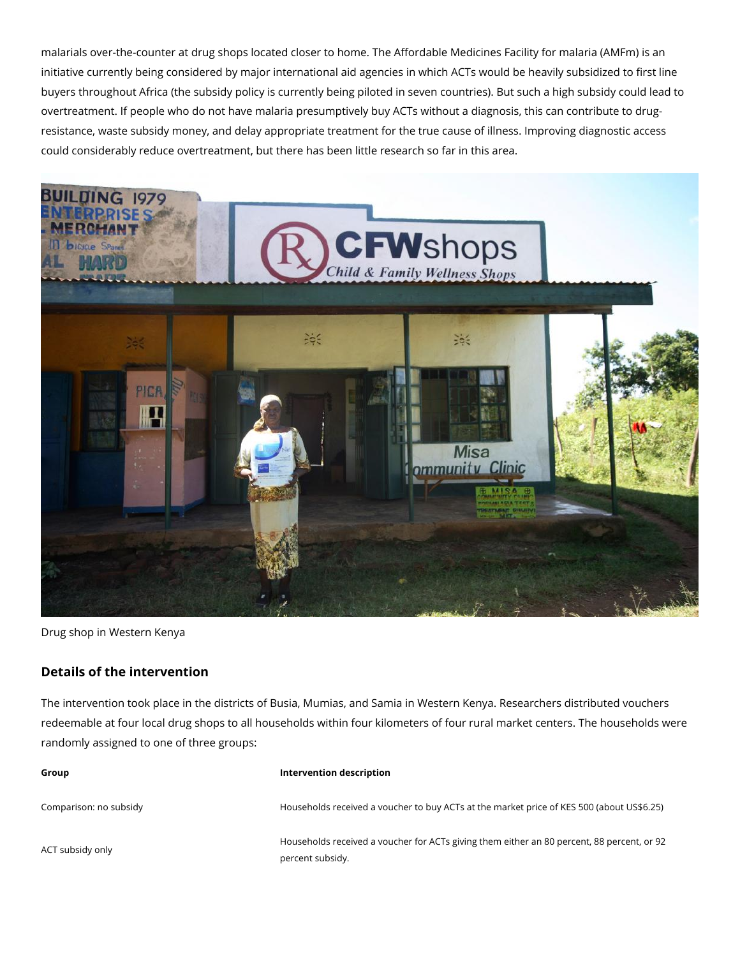malarials over-the-counter at drug shops located closer to home. The Affordable Medicines Facility for malaria (AMFm) is an initiative currently being considered by major international aid agencies in which ACTs would be heavily subsidized to first line buyers throughout Africa (the subsidy policy is currently being piloted in seven countries). But such a high subsidy could lead to overtreatment. If people who do not have malaria presumptively buy ACTs without a diagnosis, this can contribute to drugresistance, waste subsidy money, and delay appropriate treatment for the true cause of illness. Improving diagnostic access could considerably reduce overtreatment, but there has been little research so far in this area.



Drug shop in Western Kenya

## **Details of the intervention**

The intervention took place in the districts of Busia, Mumias, and Samia in Western Kenya. Researchers distributed vouchers redeemable at four local drug shops to all households within four kilometers of four rural market centers. The households were randomly assigned to one of three groups:

| Group                  | Intervention description                                                                                       |
|------------------------|----------------------------------------------------------------------------------------------------------------|
| Comparison: no subsidy | Households received a voucher to buy ACTs at the market price of KES 500 (about US\$6.25)                      |
| ACT subsidy only       | Households received a voucher for ACTs giving them either an 80 percent, 88 percent, or 92<br>percent subsidy. |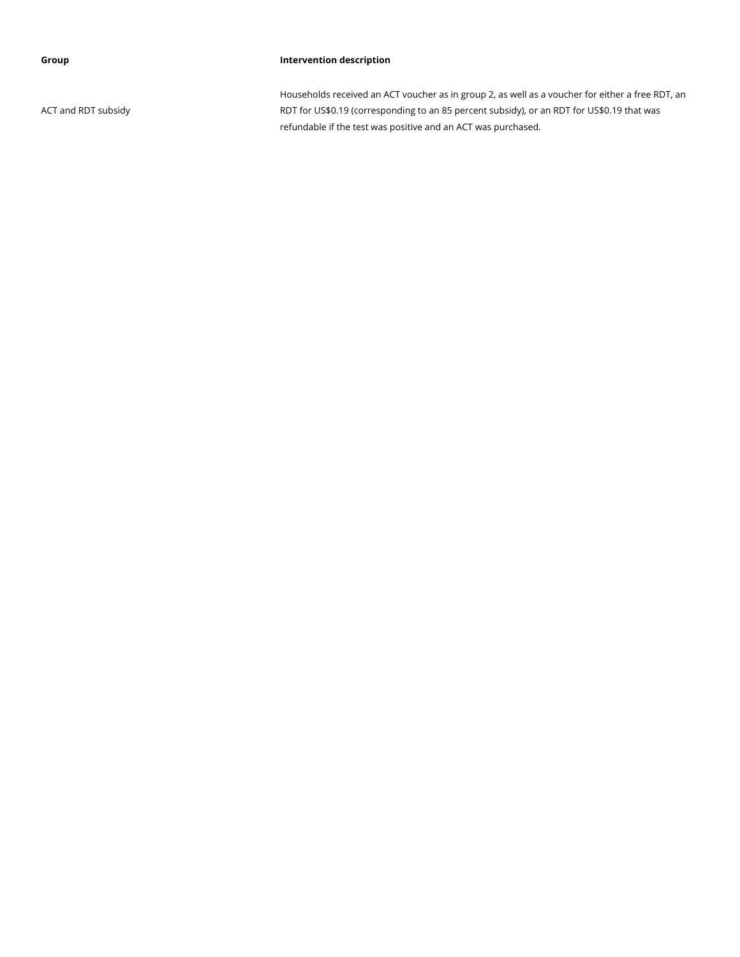#### **Group Intervention description**

ACT and RDT subsidy

Households received an ACT voucher as in group 2, as well as a voucher for either a free RDT, an RDT for US\$0.19 (corresponding to an 85 percent subsidy), or an RDT for US\$0.19 that was refundable if the test was positive and an ACT was purchased.